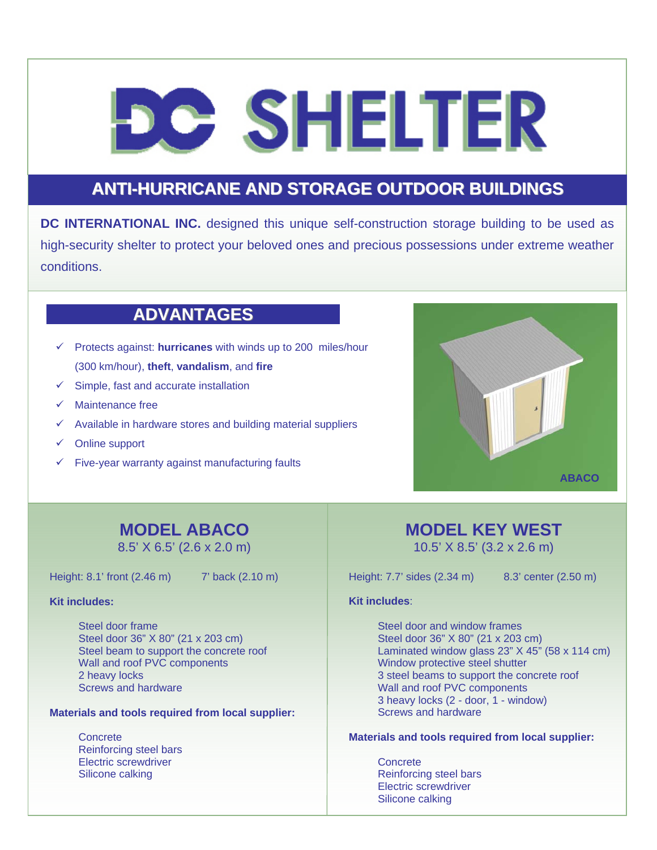# **e SHELTER**

## **ANTI-HURRICANE AND STORAGE OUTDOOR BUILDINGS**

**DC INTERNATIONAL INC.** designed this unique self-construction storage building to be used as high-security shelter to protect your beloved ones and precious possessions under extreme weather conditions.

### **ADVANTAGES**

- $\checkmark$  Protects against: **hurricanes** with winds up to 200 miles/hour (300 km/hour), **theft**, **vandalism**, and **fire**
- $\checkmark$  Simple, fast and accurate installation
- Maintenance free
- $\checkmark$  Available in hardware stores and building material suppliers
- $\checkmark$  Online support
- $\checkmark$  Five-year warranty against manufacturing faults



## **MODEL ABACO**

8.5' X 6.5' (2.6 x 2.0 m)

Height: 8.1' front (2.46 m) 7' back (2.10 m)

#### **Kit includes:**

Steel door frame Steel door 36" X 80" (21 x 203 cm) Steel beam to support the concrete roof Wall and roof PVC components 2 heavy locks Screws and hardware

#### **Materials and tools required from local supplier:**

**Concrete** Reinforcing steel bars Electric screwdriver Silicone calking

## **MODEL KEY WEST**

10.5' X 8.5' (3.2 x 2.6 m)

Height: 7.7' sides (2.34 m) 8.3' center (2.50 m)

#### **Kit includes**:

Steel door and window frames Steel door 36" X 80" (21 x 203 cm) Laminated window glass 23" X 45" (58 x 114 cm) Window protective steel shutter 3 steel beams to support the concrete roof Wall and roof PVC components 3 heavy locks (2 - door, 1 - window) Screws and hardware

#### **Materials and tools required from local supplier:**

**Concrete** Reinforcing steel bars Electric screwdriver Silicone calking